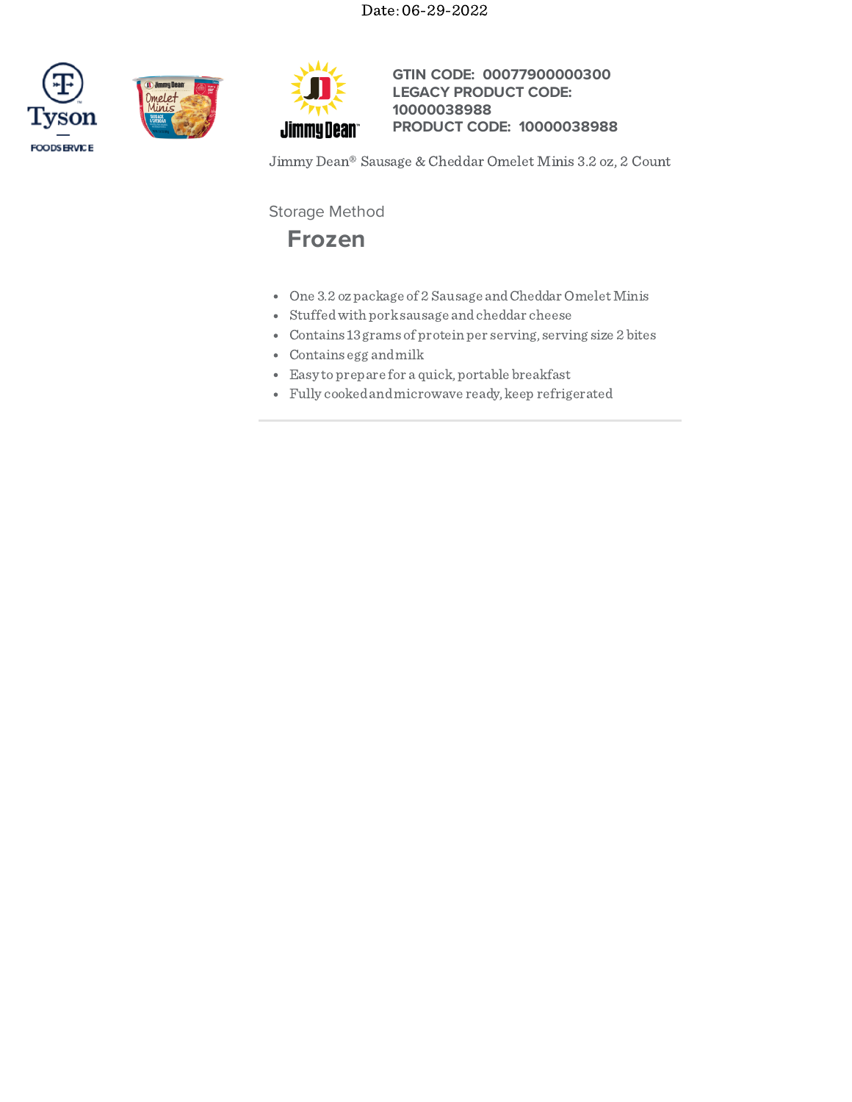# Date: 06-29-2022







**GTIN CODE: 00077900000300 LEGACY PRODUCT CODE: PRODUCT CODE: 10000038988 10000038988**

Jimmy Dean® Sausage & Cheddar Omelet Minis 3.2 oz, 2 Count

Storage Method



- One 3.2 ozpackage of 2 Sausage and Cheddar Omelet Minis
- Stuffedwith porksausage andcheddar cheese
- Contains 13grams of protein per serving, serving size 2 bites
- Contains egg andmilk
- Easy toprepare for a quick, portable breakfast
- Fully cookedandmicrowave ready, keep refrigerated